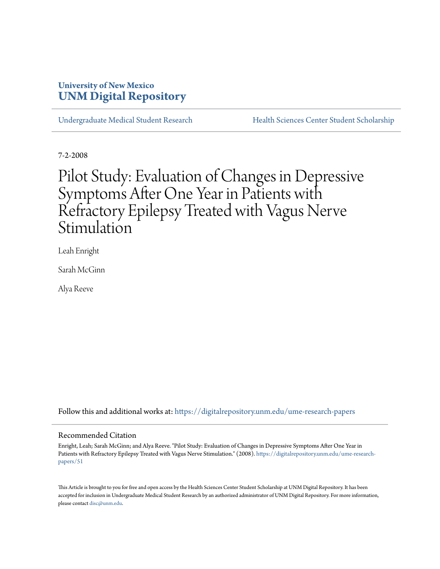# **University of New Mexico [UNM Digital Repository](https://digitalrepository.unm.edu?utm_source=digitalrepository.unm.edu%2Fume-research-papers%2F51&utm_medium=PDF&utm_campaign=PDFCoverPages)**

[Undergraduate Medical Student Research](https://digitalrepository.unm.edu/ume-research-papers?utm_source=digitalrepository.unm.edu%2Fume-research-papers%2F51&utm_medium=PDF&utm_campaign=PDFCoverPages) [Health Sciences Center Student Scholarship](https://digitalrepository.unm.edu/hsc-students?utm_source=digitalrepository.unm.edu%2Fume-research-papers%2F51&utm_medium=PDF&utm_campaign=PDFCoverPages)

7-2-2008

# Pilot Study: Evaluation of Changes in Depressive Symptoms After One Year in Patients with Refractory Epilepsy Treated with Vagus Nerve Stimulation

Leah Enright

Sarah McGinn

Alya Reeve

Follow this and additional works at: [https://digitalrepository.unm.edu/ume-research-papers](https://digitalrepository.unm.edu/ume-research-papers?utm_source=digitalrepository.unm.edu%2Fume-research-papers%2F51&utm_medium=PDF&utm_campaign=PDFCoverPages)

#### Recommended Citation

Enright, Leah; Sarah McGinn; and Alya Reeve. "Pilot Study: Evaluation of Changes in Depressive Symptoms After One Year in Patients with Refractory Epilepsy Treated with Vagus Nerve Stimulation." (2008). [https://digitalrepository.unm.edu/ume-research](https://digitalrepository.unm.edu/ume-research-papers/51?utm_source=digitalrepository.unm.edu%2Fume-research-papers%2F51&utm_medium=PDF&utm_campaign=PDFCoverPages)[papers/51](https://digitalrepository.unm.edu/ume-research-papers/51?utm_source=digitalrepository.unm.edu%2Fume-research-papers%2F51&utm_medium=PDF&utm_campaign=PDFCoverPages)

This Article is brought to you for free and open access by the Health Sciences Center Student Scholarship at UNM Digital Repository. It has been accepted for inclusion in Undergraduate Medical Student Research by an authorized administrator of UNM Digital Repository. For more information, please contact [disc@unm.edu.](mailto:disc@unm.edu)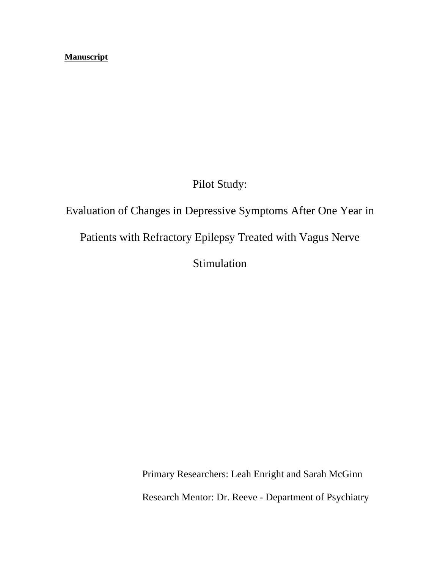# **Manuscript**

Pilot Study:

# Evaluation of Changes in Depressive Symptoms After One Year in Patients with Refractory Epilepsy Treated with Vagus Nerve Stimulation

Primary Researchers: Leah Enright and Sarah McGinn Research Mentor: Dr. Reeve - Department of Psychiatry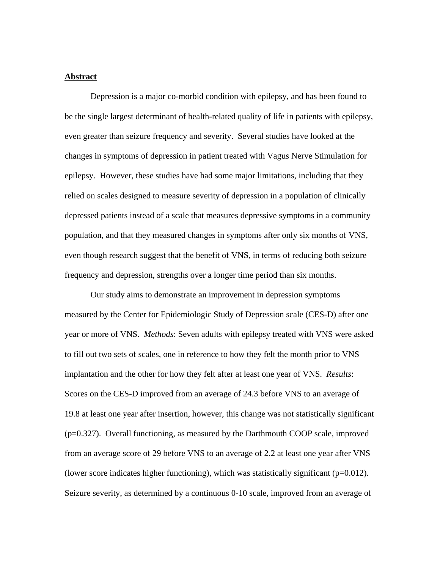# **Abstract**

Depression is a major co-morbid condition with epilepsy, and has been found to be the single largest determinant of health-related quality of life in patients with epilepsy, even greater than seizure frequency and severity. Several studies have looked at the changes in symptoms of depression in patient treated with Vagus Nerve Stimulation for epilepsy. However, these studies have had some major limitations, including that they relied on scales designed to measure severity of depression in a population of clinically depressed patients instead of a scale that measures depressive symptoms in a community population, and that they measured changes in symptoms after only six months of VNS, even though research suggest that the benefit of VNS, in terms of reducing both seizure frequency and depression, strengths over a longer time period than six months.

Our study aims to demonstrate an improvement in depression symptoms measured by the Center for Epidemiologic Study of Depression scale (CES-D) after one year or more of VNS. *Methods*: Seven adults with epilepsy treated with VNS were asked to fill out two sets of scales, one in reference to how they felt the month prior to VNS implantation and the other for how they felt after at least one year of VNS. *Results*: Scores on the CES-D improved from an average of 24.3 before VNS to an average of 19.8 at least one year after insertion, however, this change was not statistically significant (p=0.327). Overall functioning, as measured by the Darthmouth COOP scale, improved from an average score of 29 before VNS to an average of 2.2 at least one year after VNS (lower score indicates higher functioning), which was statistically significant ( $p=0.012$ ). Seizure severity, as determined by a continuous 0-10 scale, improved from an average of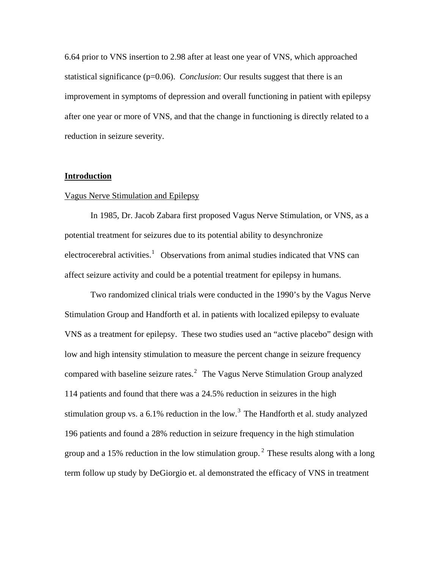6.64 prior to VNS insertion to 2.98 after at least one year of VNS, which approached statistical significance (p=0.06). *Conclusion*: Our results suggest that there is an improvement in symptoms of depression and overall functioning in patient with epilepsy after one year or more of VNS, and that the change in functioning is directly related to a reduction in seizure severity.

#### **Introduction**

#### Vagus Nerve Stimulation and Epilepsy

 In 1985, Dr. Jacob Zabara first proposed Vagus Nerve Stimulation, or VNS, as a potential treatment for seizures due to its potential ability to desynchronize electrocerebral activities.<sup>[1](#page-25-0)</sup> Observations from animal studies indicated that VNS can affect seizure activity and could be a potential treatment for epilepsy in humans.

 Two randomized clinical trials were conducted in the 1990's by the Vagus Nerve Stimulation Group and Handforth et al. in patients with localized epilepsy to evaluate VNS as a treatment for epilepsy. These two studies used an "active placebo" design with low and high intensity stimulation to measure the percent change in seizure frequency compared with baseline seizure rates.<sup>[2](#page-25-1)</sup> The Vagus Nerve Stimulation Group analyzed 114 patients and found that there was a 24.5% reduction in seizures in the high stimulation group vs. a  $6.1\%$  reduction in the low.<sup>[3](#page-25-1)</sup> The Handforth et al. study analyzed 196 patients and found a 28% reduction in seizure frequency in the high stimulation group and a 15% reduction in the low stimulation group.<sup>2</sup> These results along with a long term follow up study by DeGiorgio et. al demonstrated the efficacy of VNS in treatment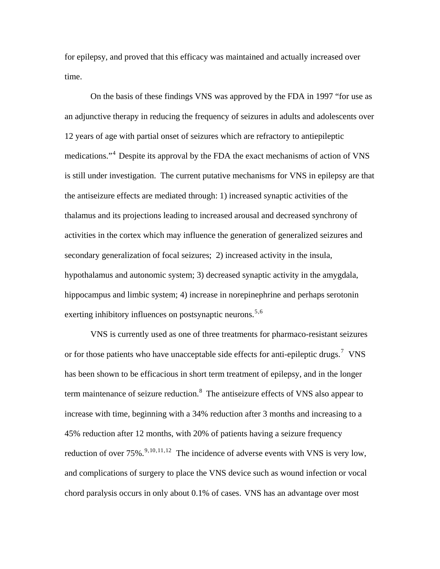for epilepsy, and proved that this efficacy was maintained and actually increased over time.

 On the basis of these findings VNS was approved by the FDA in 1997 "for use as an adjunctive therapy in reducing the frequency of seizures in adults and adolescents over 12 years of age with partial onset of seizures which are refractory to antiepileptic medications."[4](#page-25-1) Despite its approval by the FDA the exact mechanisms of action of VNS is still under investigation. The current putative mechanisms for VNS in epilepsy are that the antiseizure effects are mediated through: 1) increased synaptic activities of the thalamus and its projections leading to increased arousal and decreased synchrony of activities in the cortex which may influence the generation of generalized seizures and secondary generalization of focal seizures; 2) increased activity in the insula, hypothalamus and autonomic system; 3) decreased synaptic activity in the amygdala, hippocampus and limbic system; 4) increase in norepinephrine and perhaps serotonin exerting inhibitory influences on postsynaptic neurons.<sup>[5](#page-25-1),[6](#page-25-1)</sup>

 VNS is currently used as one of three treatments for pharmaco-resistant seizures or for those patients who have unacceptable side effects for anti-epileptic drugs.<sup>[7](#page-25-1)</sup> VNS has been shown to be efficacious in short term treatment of epilepsy, and in the longer term maintenance of seizure reduction.<sup>[8](#page-25-1)</sup> The antiseizure effects of VNS also appear to increase with time, beginning with a 34% reduction after 3 months and increasing to a 45% reduction after 12 months, with 20% of patients having a seizure frequency reduction of over  $75\%$ .  $\frac{9, 10, 11, 12}{9}$  $\frac{9, 10, 11, 12}{9}$  $\frac{9, 10, 11, 12}{9}$  $\frac{9, 10, 11, 12}{9}$  $\frac{9, 10, 11, 12}{9}$  The incidence of adverse events with VNS is very low, and complications of surgery to place the VNS device such as wound infection or vocal chord paralysis occurs in only about 0.1% of cases. VNS has an advantage over most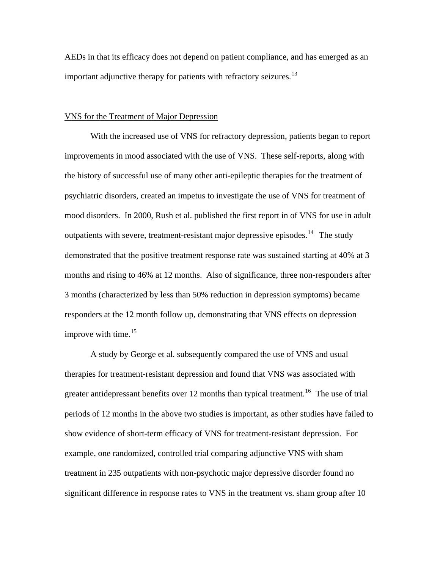AEDs in that its efficacy does not depend on patient compliance, and has emerged as an important adjunctive therapy for patients with refractory seizures.<sup>[13](#page-25-1)</sup>

#### VNS for the Treatment of Major Depression

 With the increased use of VNS for refractory depression, patients began to report improvements in mood associated with the use of VNS. These self-reports, along with the history of successful use of many other anti-epileptic therapies for the treatment of psychiatric disorders, created an impetus to investigate the use of VNS for treatment of mood disorders. In 2000, Rush et al. published the first report in of VNS for use in adult outpatients with severe, treatment-resistant major depressive episodes.<sup>[14](#page-25-1)</sup> The study demonstrated that the positive treatment response rate was sustained starting at 40% at 3 months and rising to 46% at 12 months. Also of significance, three non-responders after 3 months (characterized by less than 50% reduction in depression symptoms) became responders at the 12 month follow up, demonstrating that VNS effects on depression improve with time. $15$ 

A study by George et al. subsequently compared the use of VNS and usual therapies for treatment-resistant depression and found that VNS was associated with greater antidepressant benefits over 12 months than typical treatment.<sup>[16](#page-25-1)</sup> The use of trial periods of 12 months in the above two studies is important, as other studies have failed to show evidence of short-term efficacy of VNS for treatment-resistant depression. For example, one randomized, controlled trial comparing adjunctive VNS with sham treatment in 235 outpatients with non-psychotic major depressive disorder found no significant difference in response rates to VNS in the treatment vs. sham group after 10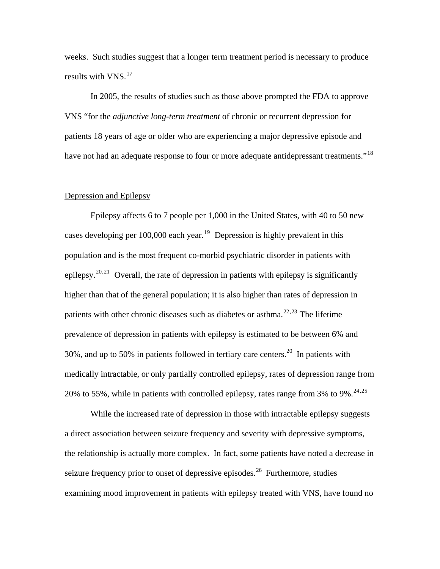weeks. Such studies suggest that a longer term treatment period is necessary to produce results with VNS.<sup>[17](#page-25-1)</sup>

 In 2005, the results of studies such as those above prompted the FDA to approve VNS "for the *adjunctive long-term treatment* of chronic or recurrent depression for patients 18 years of age or older who are experiencing a major depressive episode and have not had an adequate response to four or more adequate antidepressant treatments."<sup>[18](#page-25-1)</sup>

#### Depression and Epilepsy

 Epilepsy affects 6 to 7 people per 1,000 in the United States, with 40 to 50 new cases developing per 100,000 each year.<sup>[19](#page-25-1)</sup> Depression is highly prevalent in this population and is the most frequent co-morbid psychiatric disorder in patients with epilepsy.<sup>[20](#page-25-1),[21](#page-25-1)</sup> Overall, the rate of depression in patients with epilepsy is significantly higher than that of the general population; it is also higher than rates of depression in patients with other chronic diseases such as diabetes or asthma.<sup>[22](#page-25-1),[23](#page-25-1)</sup> The lifetime prevalence of depression in patients with epilepsy is estimated to be between 6% and 30%, and up to 50% in patients followed in tertiary care centers.<sup>20</sup> In patients with medically intractable, or only partially controlled epilepsy, rates of depression range from 20% to 55%, while in patients with controlled epilepsy, rates range from 3% to 9%.<sup>[24](#page-25-1),[25](#page-25-1)</sup>

While the increased rate of depression in those with intractable epilepsy suggests a direct association between seizure frequency and severity with depressive symptoms, the relationship is actually more complex. In fact, some patients have noted a decrease in seizure frequency prior to onset of depressive episodes.<sup>[26](#page-25-1)</sup> Furthermore, studies examining mood improvement in patients with epilepsy treated with VNS, have found no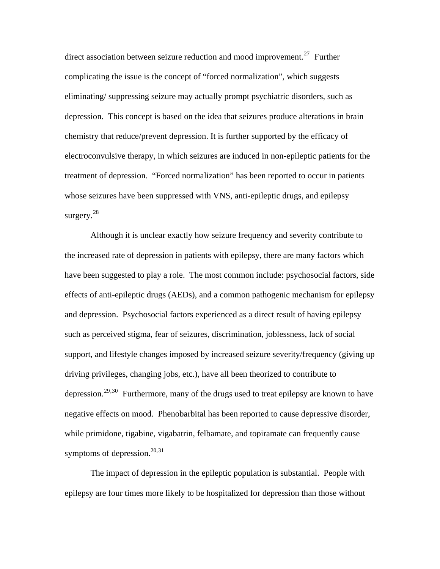direct association between seizure reduction and mood improvement.<sup>[27](#page-25-1)</sup> Further complicating the issue is the concept of "forced normalization", which suggests eliminating/ suppressing seizure may actually prompt psychiatric disorders, such as depression. This concept is based on the idea that seizures produce alterations in brain chemistry that reduce/prevent depression. It is further supported by the efficacy of electroconvulsive therapy, in which seizures are induced in non-epileptic patients for the treatment of depression. "Forced normalization" has been reported to occur in patients whose seizures have been suppressed with VNS, anti-epileptic drugs, and epilepsy surgery. $28$ 

 Although it is unclear exactly how seizure frequency and severity contribute to the increased rate of depression in patients with epilepsy, there are many factors which have been suggested to play a role. The most common include: psychosocial factors, side effects of anti-epileptic drugs (AEDs), and a common pathogenic mechanism for epilepsy and depression. Psychosocial factors experienced as a direct result of having epilepsy such as perceived stigma, fear of seizures, discrimination, joblessness, lack of social support, and lifestyle changes imposed by increased seizure severity/frequency (giving up driving privileges, changing jobs, etc.), have all been theorized to contribute to depression.<sup>[29](#page-25-1),[30](#page-25-1)</sup> Furthermore, many of the drugs used to treat epilepsy are known to have negative effects on mood. Phenobarbital has been reported to cause depressive disorder, while primidone, tigabine, vigabatrin, felbamate, and topiramate can frequently cause symptoms of depression. $20,31$  $20,31$ 

The impact of depression in the epileptic population is substantial. People with epilepsy are four times more likely to be hospitalized for depression than those without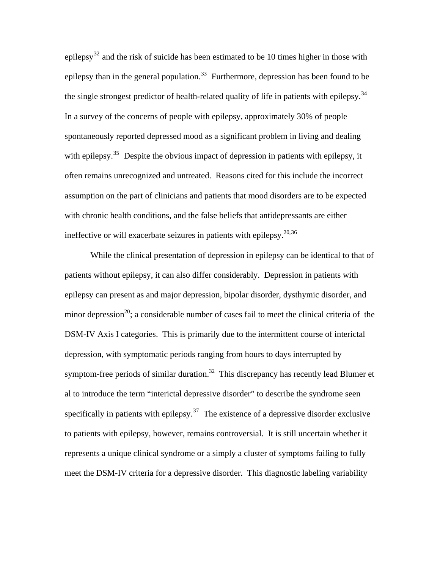epilepsy<sup>[32](#page-25-1)</sup> and the risk of suicide has been estimated to be 10 times higher in those with epilepsy than in the general population.<sup>[33](#page-25-1)</sup> Furthermore, depression has been found to be the single strongest predictor of health-related quality of life in patients with epilepsy.<sup>[34](#page-25-1)</sup> In a survey of the concerns of people with epilepsy, approximately 30% of people spontaneously reported depressed mood as a significant problem in living and dealing with epilepsy.<sup>[35](#page-25-1)</sup> Despite the obvious impact of depression in patients with epilepsy, it often remains unrecognized and untreated. Reasons cited for this include the incorrect assumption on the part of clinicians and patients that mood disorders are to be expected with chronic health conditions, and the false beliefs that antidepressants are either ineffective or will exacerbate seizures in patients with epilepsy.  $20,36$  $20,36$ 

 While the clinical presentation of depression in epilepsy can be identical to that of patients without epilepsy, it can also differ considerably. Depression in patients with epilepsy can present as and major depression, bipolar disorder, dysthymic disorder, and minor depression<sup>20</sup>; a considerable number of cases fail to meet the clinical criteria of the DSM-IV Axis I categories. This is primarily due to the intermittent course of interictal depression, with symptomatic periods ranging from hours to days interrupted by symptom-free periods of similar duration.<sup>32</sup> This discrepancy has recently lead Blumer et al to introduce the term "interictal depressive disorder" to describe the syndrome seen specifically in patients with epilepsy.<sup>[37](#page-25-1)</sup> The existence of a depressive disorder exclusive to patients with epilepsy, however, remains controversial. It is still uncertain whether it represents a unique clinical syndrome or a simply a cluster of symptoms failing to fully meet the DSM-IV criteria for a depressive disorder. This diagnostic labeling variability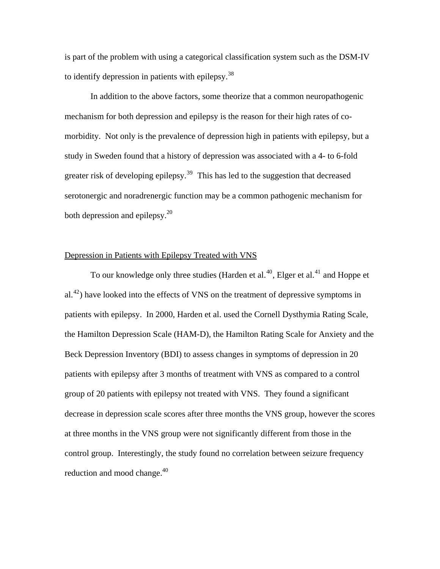is part of the problem with using a categorical classification system such as the DSM-IV to identify depression in patients with epilepsy.[38](#page-25-1)

In addition to the above factors, some theorize that a common neuropathogenic mechanism for both depression and epilepsy is the reason for their high rates of comorbidity. Not only is the prevalence of depression high in patients with epilepsy, but a study in Sweden found that a history of depression was associated with a 4- to 6-fold greater risk of developing epilepsy.<sup>[39](#page-25-1)</sup> This has led to the suggestion that decreased serotonergic and noradrenergic function may be a common pathogenic mechanism for both depression and epilepsy.<sup>20</sup>

### Depression in Patients with Epilepsy Treated with VNS

To our knowledge only three studies (Harden et al.<sup>[40](#page-25-1)</sup>, Elger et al.<sup>[41](#page-25-1)</sup> and Hoppe et  $a^{(4)}$ ) have looked into the effects of VNS on the treatment of depressive symptoms in patients with epilepsy. In 2000, Harden et al. used the Cornell Dysthymia Rating Scale, the Hamilton Depression Scale (HAM-D), the Hamilton Rating Scale for Anxiety and the Beck Depression Inventory (BDI) to assess changes in symptoms of depression in 20 patients with epilepsy after 3 months of treatment with VNS as compared to a control group of 20 patients with epilepsy not treated with VNS. They found a significant decrease in depression scale scores after three months the VNS group, however the scores at three months in the VNS group were not significantly different from those in the control group. Interestingly, the study found no correlation between seizure frequency reduction and mood change. $40$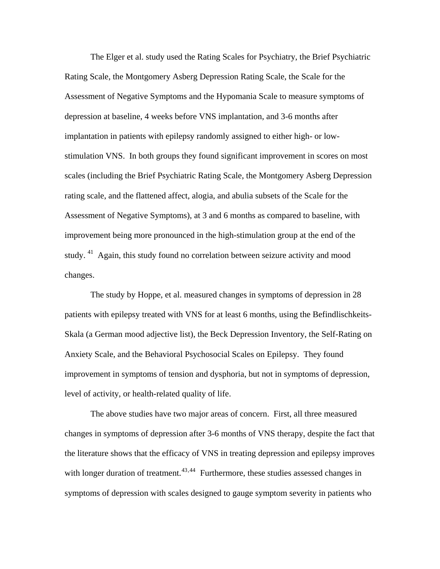The Elger et al. study used the Rating Scales for Psychiatry, the Brief Psychiatric Rating Scale, the Montgomery Asberg Depression Rating Scale, the Scale for the Assessment of Negative Symptoms and the Hypomania Scale to measure symptoms of depression at baseline, 4 weeks before VNS implantation, and 3-6 months after implantation in patients with epilepsy randomly assigned to either high- or lowstimulation VNS. In both groups they found significant improvement in scores on most scales (including the Brief Psychiatric Rating Scale, the Montgomery Asberg Depression rating scale, and the flattened affect, alogia, and abulia subsets of the Scale for the Assessment of Negative Symptoms), at 3 and 6 months as compared to baseline, with improvement being more pronounced in the high-stimulation group at the end of the study. 41 Again, this study found no correlation between seizure activity and mood changes.

The study by Hoppe, et al. measured changes in symptoms of depression in 28 patients with epilepsy treated with VNS for at least 6 months, using the Befindlischkeits-Skala (a German mood adjective list), the Beck Depression Inventory, the Self-Rating on Anxiety Scale, and the Behavioral Psychosocial Scales on Epilepsy. They found improvement in symptoms of tension and dysphoria, but not in symptoms of depression, level of activity, or health-related quality of life.

The above studies have two major areas of concern. First, all three measured changes in symptoms of depression after 3-6 months of VNS therapy, despite the fact that the literature shows that the efficacy of VNS in treating depression and epilepsy improves with longer duration of treatment.<sup> $43,44$  $43,44$  $43,44$ </sup> Furthermore, these studies assessed changes in symptoms of depression with scales designed to gauge symptom severity in patients who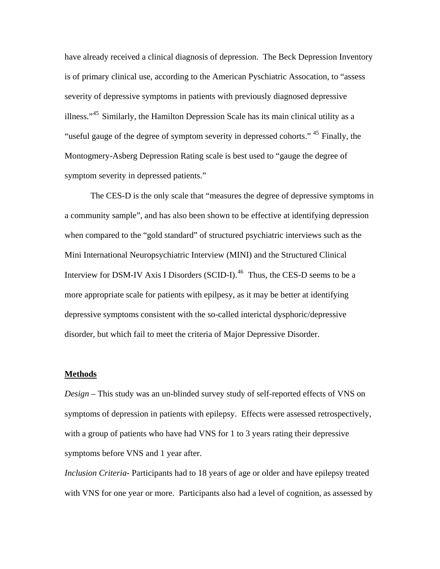have already received a clinical diagnosis of depression. The Beck Depression Inventory is of primary clinical use, according to the American Pyschiatric Assocation, to "assess severity of depressive symptoms in patients with previously diagnosed depressive illness."[45](#page-25-1) Similarly, the Hamilton Depression Scale has its main clinical utility as a "useful gauge of the degree of symptom severity in depressed cohorts." <sup>45</sup> Finally, the Montogmery-Asberg Depression Rating scale is best used to "gauge the degree of symptom severity in depressed patients."

The CES-D is the only scale that "measures the degree of depressive symptoms in a community sample", and has also been shown to be effective at identifying depression when compared to the "gold standard" of structured psychiatric interviews such as the Mini International Neuropsychiatric Interview (MINI) and the Structured Clinical Interview for DSM-IV Axis I Disorders (SCID-I).<sup>[46](#page-25-1)</sup> Thus, the CES-D seems to be a more appropriate scale for patients with epilpesy, as it may be better at identifying depressive symptoms consistent with the so-called interictal dysphoric/depressive disorder, but which fail to meet the criteria of Major Depressive Disorder.

#### **Methods**

*Design* – This study was an un-blinded survey study of self-reported effects of VNS on symptoms of depression in patients with epilepsy. Effects were assessed retrospectively, with a group of patients who have had VNS for 1 to 3 years rating their depressive symptoms before VNS and 1 year after.

*Inclusion Criteria*- Participants had to 18 years of age or older and have epilepsy treated with VNS for one year or more. Participants also had a level of cognition, as assessed by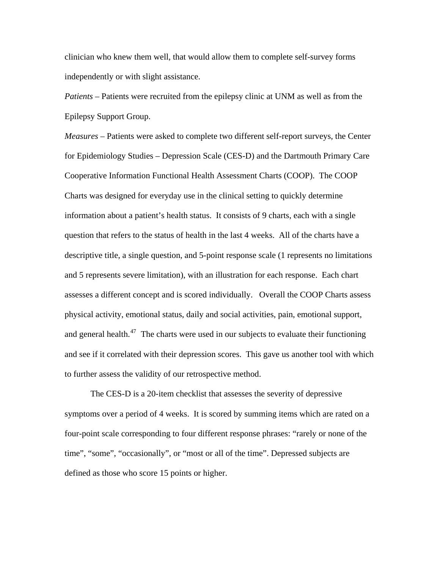clinician who knew them well, that would allow them to complete self-survey forms independently or with slight assistance.

*Patients* – Patients were recruited from the epilepsy clinic at UNM as well as from the Epilepsy Support Group.

*Measures* – Patients were asked to complete two different self-report surveys, the Center for Epidemiology Studies – Depression Scale (CES-D) and the Dartmouth Primary Care Cooperative Information Functional Health Assessment Charts (COOP). The COOP Charts was designed for everyday use in the clinical setting to quickly determine information about a patient's health status. It consists of 9 charts, each with a single question that refers to the status of health in the last 4 weeks. All of the charts have a descriptive title, a single question, and 5-point response scale (1 represents no limitations and 5 represents severe limitation), with an illustration for each response. Each chart assesses a different concept and is scored individually. Overall the COOP Charts assess physical activity, emotional status, daily and social activities, pain, emotional support, and general health.<sup>[47](#page-25-1)</sup> The charts were used in our subjects to evaluate their functioning and see if it correlated with their depression scores. This gave us another tool with which to further assess the validity of our retrospective method.

The CES-D is a 20-item checklist that assesses the severity of depressive symptoms over a period of 4 weeks. It is scored by summing items which are rated on a four-point scale corresponding to four different response phrases: "rarely or none of the time", "some", "occasionally", or "most or all of the time". Depressed subjects are defined as those who score 15 points or higher.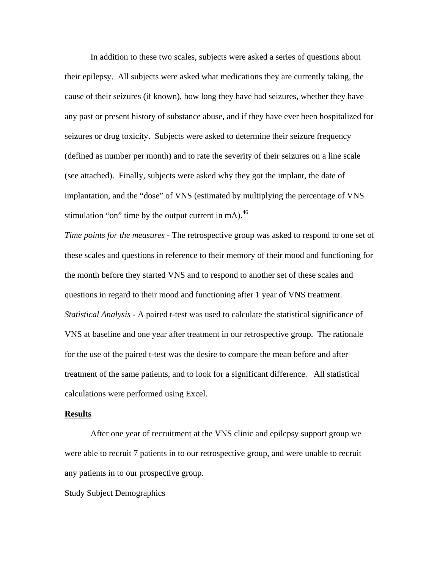In addition to these two scales, subjects were asked a series of questions about their epilepsy. All subjects were asked what medications they are currently taking, the cause of their seizures (if known), how long they have had seizures, whether they have any past or present history of substance abuse, and if they have ever been hospitalized for seizures or drug toxicity. Subjects were asked to determine their seizure frequency (defined as number per month) and to rate the severity of their seizures on a line scale (see attached). Finally, subjects were asked why they got the implant, the date of implantation, and the "dose" of VNS (estimated by multiplying the percentage of VNS stimulation "on" time by the output current in mA). $^{46}$ 

*Time points for the measures* - The retrospective group was asked to respond to one set of these scales and questions in reference to their memory of their mood and functioning for the month before they started VNS and to respond to another set of these scales and questions in regard to their mood and functioning after 1 year of VNS treatment. *Statistical Analysis -* A paired t-test was used to calculate the statistical significance of VNS at baseline and one year after treatment in our retrospective group. The rationale for the use of the paired t-test was the desire to compare the mean before and after treatment of the same patients, and to look for a significant difference. All statistical calculations were performed using Excel.

#### **Results**

After one year of recruitment at the VNS clinic and epilepsy support group we were able to recruit 7 patients in to our retrospective group, and were unable to recruit any patients in to our prospective group.

#### Study Subject Demographics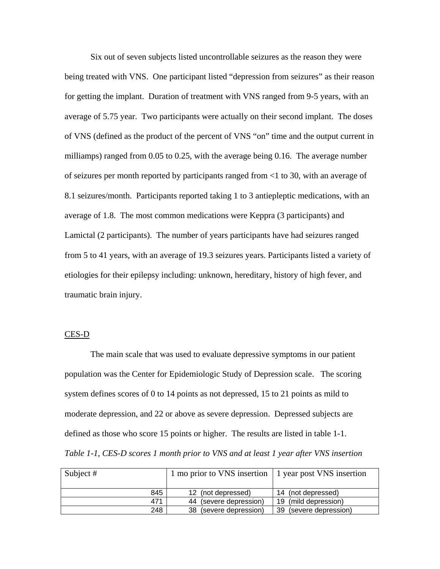Six out of seven subjects listed uncontrollable seizures as the reason they were being treated with VNS. One participant listed "depression from seizures" as their reason for getting the implant. Duration of treatment with VNS ranged from 9-5 years, with an average of 5.75 year. Two participants were actually on their second implant. The doses of VNS (defined as the product of the percent of VNS "on" time and the output current in milliamps) ranged from 0.05 to 0.25, with the average being 0.16. The average number of seizures per month reported by participants ranged from <1 to 30, with an average of 8.1 seizures/month. Participants reported taking 1 to 3 antiepleptic medications, with an average of 1.8. The most common medications were Keppra (3 participants) and Lamictal (2 participants). The number of years participants have had seizures ranged from 5 to 41 years, with an average of 19.3 seizures years. Participants listed a variety of etiologies for their epilepsy including: unknown, hereditary, history of high fever, and traumatic brain injury.

#### CES-D

The main scale that was used to evaluate depressive symptoms in our patient population was the Center for Epidemiologic Study of Depression scale. The scoring system defines scores of 0 to 14 points as not depressed, 15 to 21 points as mild to moderate depression, and 22 or above as severe depression. Depressed subjects are defined as those who score 15 points or higher. The results are listed in table 1-1. *Table 1-1, CES-D scores 1 month prior to VNS and at least 1 year after VNS insertion* 

| Subject $#$ | 1 mo prior to VNS insertion | 1 year post VNS insertion |
|-------------|-----------------------------|---------------------------|
| 845         | 12 (not depressed)          | 14 (not depressed)        |
| 471         | 44 (severe depression)      | 19 (mild depression)      |
| 248         | 38 (severe depression)      | 39 (severe depression)    |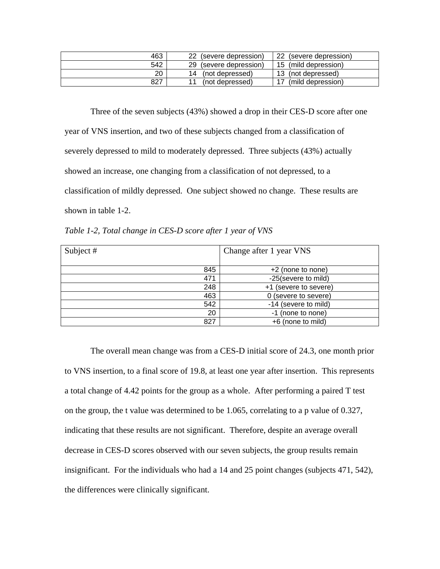| 463 | 22<br>(severe depression) | 22<br>(severe depression) |
|-----|---------------------------|---------------------------|
| 542 | 29<br>(severe depression) | 15 (mild depression)      |
| 20  | (not depressed)<br>14     | 13 (not depressed)        |
| 827 | (not depressed)           | (mild depression)         |

 Three of the seven subjects (43%) showed a drop in their CES-D score after one year of VNS insertion, and two of these subjects changed from a classification of severely depressed to mild to moderately depressed. Three subjects (43%) actually showed an increase, one changing from a classification of not depressed, to a classification of mildly depressed. One subject showed no change. These results are shown in table 1-2.

*Table 1-2, Total change in CES-D score after 1 year of VNS* 

| Subject # | Change after 1 year VNS |
|-----------|-------------------------|
| 845       | +2 (none to none)       |
| 471       | -25(severe to mild)     |
| 248       | +1 (severe to severe)   |
| 463       | 0 (severe to severe)    |
| 542       | -14 (severe to mild)    |
| 20        | -1 (none to none)       |
| 827       | +6 (none to mild)       |

 The overall mean change was from a CES-D initial score of 24.3, one month prior to VNS insertion, to a final score of 19.8, at least one year after insertion. This represents a total change of 4.42 points for the group as a whole. After performing a paired T test on the group, the t value was determined to be 1.065, correlating to a p value of 0.327, indicating that these results are not significant. Therefore, despite an average overall decrease in CES-D scores observed with our seven subjects, the group results remain insignificant. For the individuals who had a 14 and 25 point changes (subjects 471, 542), the differences were clinically significant.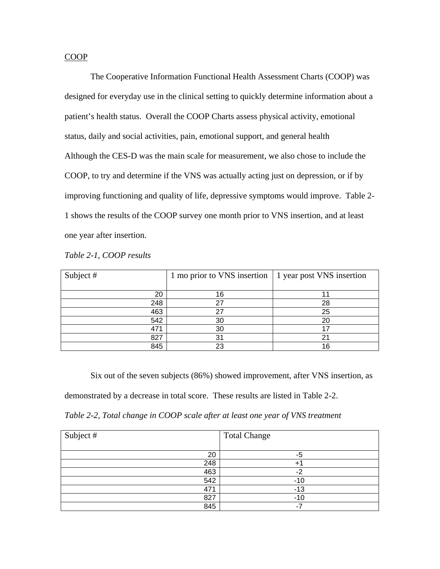# COOP

The Cooperative Information Functional Health Assessment Charts (COOP) was designed for everyday use in the clinical setting to quickly determine information about a patient's health status. Overall the COOP Charts assess physical activity, emotional status, daily and social activities, pain, emotional support, and general health Although the CES-D was the main scale for measurement, we also chose to include the COOP, to try and determine if the VNS was actually acting just on depression, or if by improving functioning and quality of life, depressive symptoms would improve. Table 2- 1 shows the results of the COOP survey one month prior to VNS insertion, and at least one year after insertion.

| Subject # | 1 mo prior to VNS insertion | 1 year post VNS insertion |
|-----------|-----------------------------|---------------------------|
|           |                             |                           |
| 20        | 16                          |                           |
| 248       | つフ                          | 28                        |
| 463       | っっ                          | 25                        |
| 542       | 30                          | 20                        |
| 471       | 30                          | 17                        |
| 827       | 31                          | 21                        |
| 845       | 23                          | 16                        |

Six out of the seven subjects (86%) showed improvement, after VNS insertion, as

demonstrated by a decrease in total score. These results are listed in Table 2-2.

*Table 2-2, Total change in COOP scale after at least one year of VNS treatment* 

| Subject # | <b>Total Change</b> |
|-----------|---------------------|
|           |                     |
| 20        | -5                  |
| 248       | $+$ $\overline{ }$  |
| 463       | c                   |
| 542       | $-10$               |
| 471       | $-13$               |
| 827       | $-10$               |
| 845       | ٠.                  |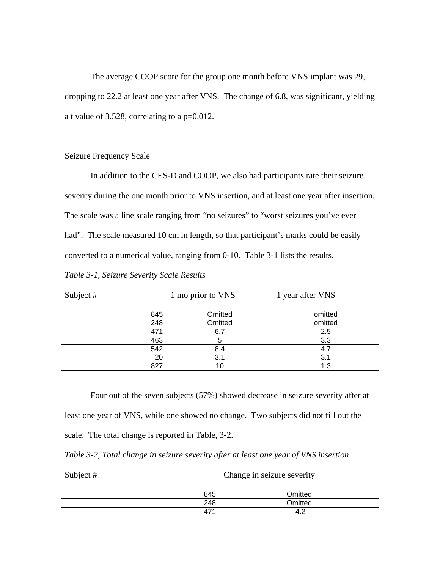The average COOP score for the group one month before VNS implant was 29, dropping to 22.2 at least one year after VNS. The change of 6.8, was significant, yielding a t value of 3.528, correlating to a p=0.012.

#### Seizure Frequency Scale

In addition to the CES-D and COOP, we also had participants rate their seizure severity during the one month prior to VNS insertion, and at least one year after insertion. The scale was a line scale ranging from "no seizures" to "worst seizures you've ever had". The scale measured 10 cm in length, so that participant's marks could be easily converted to a numerical value, ranging from 0-10. Table 3-1 lists the results.

*Table 3-1, Seizure Severity Scale Results* 

| Subject # | 1 mo prior to VNS | 1 year after VNS |
|-----------|-------------------|------------------|
|           |                   |                  |
| 845       | Omitted           | omitted          |
| 248       | Omitted           | omitted          |
| 471       | 6.7               | 2.5              |
| 463       |                   | 3.3              |
| 542       | 8.4               | 4.7              |
| 20        | 3.1               | 3.1              |
| 827       |                   | 1.3              |

 Four out of the seven subjects (57%) showed decrease in seizure severity after at least one year of VNS, while one showed no change. Two subjects did not fill out the scale. The total change is reported in Table, 3-2.

*Table 3-2, Total change in seizure severity after at least one year of VNS insertion* 

| Subject # | Change in seizure severity |
|-----------|----------------------------|
| 845       | Omitted                    |
| 248       | Omitted                    |
| 47'       | $-4.7$                     |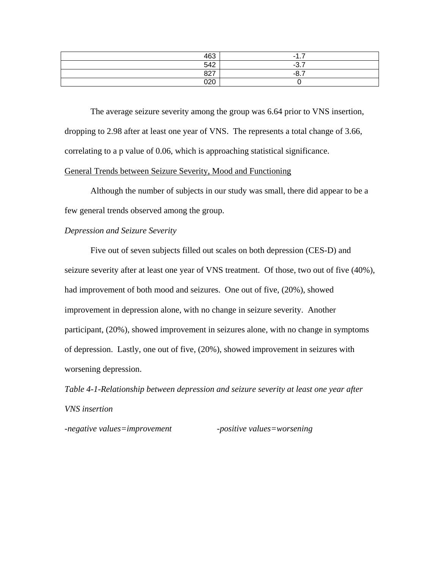| 463<br>᠇៶ | . .    |
|-----------|--------|
| F A       | $\sim$ |
| 027       | - -    |
| 000       |        |

 The average seizure severity among the group was 6.64 prior to VNS insertion, dropping to 2.98 after at least one year of VNS. The represents a total change of 3.66, correlating to a p value of 0.06, which is approaching statistical significance.

# General Trends between Seizure Severity, Mood and Functioning

 Although the number of subjects in our study was small, there did appear to be a few general trends observed among the group.

## *Depression and Seizure Severity*

 Five out of seven subjects filled out scales on both depression (CES-D) and seizure severity after at least one year of VNS treatment. Of those, two out of five (40%), had improvement of both mood and seizures. One out of five, (20%), showed improvement in depression alone, with no change in seizure severity. Another participant, (20%), showed improvement in seizures alone, with no change in symptoms of depression. Lastly, one out of five, (20%), showed improvement in seizures with worsening depression.

*Table 4-1-Relationship between depression and seizure severity at least one year after VNS insertion* 

*-negative values=improvement -positive values=worsening*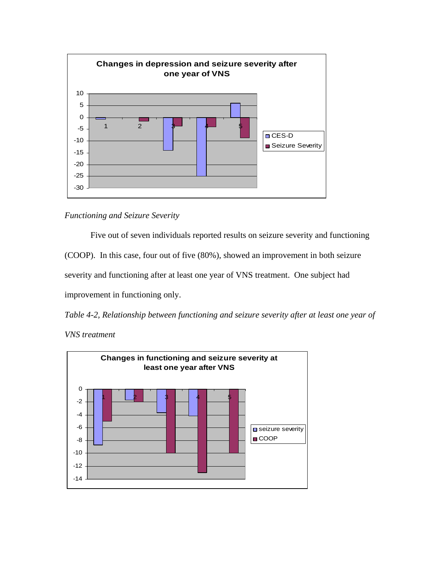

*Functioning and Seizure Severity* 

Five out of seven individuals reported results on seizure severity and functioning (COOP). In this case, four out of five (80%), showed an improvement in both seizure severity and functioning after at least one year of VNS treatment. One subject had improvement in functioning only.

*Table 4-2, Relationship between functioning and seizure severity after at least one year of* 



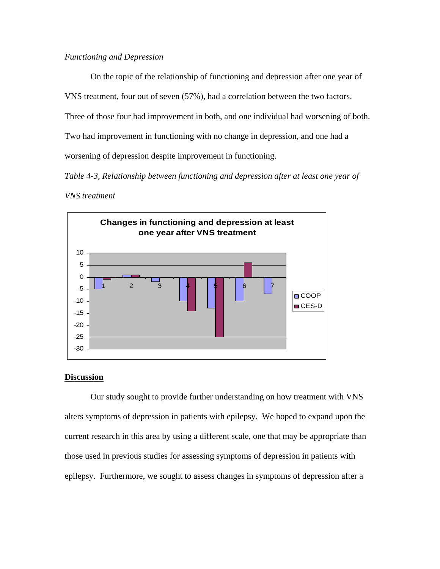# *Functioning and Depression*

 On the topic of the relationship of functioning and depression after one year of VNS treatment, four out of seven (57%), had a correlation between the two factors. Three of those four had improvement in both, and one individual had worsening of both. Two had improvement in functioning with no change in depression, and one had a worsening of depression despite improvement in functioning.

*Table 4-3, Relationship between functioning and depression after at least one year of* 

# *VNS treatment*



# **Discussion**

Our study sought to provide further understanding on how treatment with VNS alters symptoms of depression in patients with epilepsy. We hoped to expand upon the current research in this area by using a different scale, one that may be appropriate than those used in previous studies for assessing symptoms of depression in patients with epilepsy. Furthermore, we sought to assess changes in symptoms of depression after a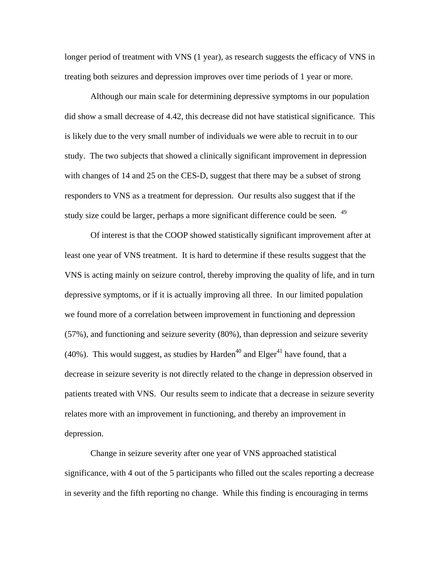longer period of treatment with VNS (1 year), as research suggests the efficacy of VNS in treating both seizures and depression improves over time periods of 1 year or more.

Although our main scale for determining depressive symptoms in our population did show a small decrease of 4.42, this decrease did not have statistical significance. This is likely due to the very small number of individuals we were able to recruit in to our study. The two subjects that showed a clinically significant improvement in depression with changes of 14 and 25 on the CES-D, suggest that there may be a subset of strong responders to VNS as a treatment for depression. Our results also suggest that if the study size could be larger, perhaps a more significant difference could be seen. <sup>49</sup>

Of interest is that the COOP showed statistically significant improvement after at least one year of VNS treatment. It is hard to determine if these results suggest that the VNS is acting mainly on seizure control, thereby improving the quality of life, and in turn depressive symptoms, or if it is actually improving all three. In our limited population we found more of a correlation between improvement in functioning and depression (57%), and functioning and seizure severity (80%), than depression and seizure severity (40%). This would suggest, as studies by Harden<sup>40</sup> and Elger<sup>41</sup> have found, that a decrease in seizure severity is not directly related to the change in depression observed in patients treated with VNS. Our results seem to indicate that a decrease in seizure severity relates more with an improvement in functioning, and thereby an improvement in depression.

Change in seizure severity after one year of VNS approached statistical significance, with 4 out of the 5 participants who filled out the scales reporting a decrease in severity and the fifth reporting no change. While this finding is encouraging in terms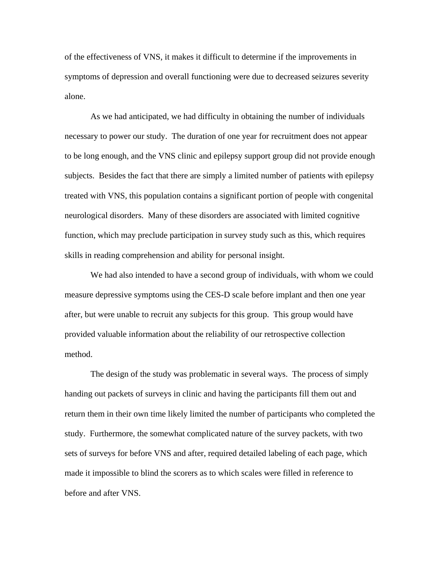of the effectiveness of VNS, it makes it difficult to determine if the improvements in symptoms of depression and overall functioning were due to decreased seizures severity alone.

As we had anticipated, we had difficulty in obtaining the number of individuals necessary to power our study. The duration of one year for recruitment does not appear to be long enough, and the VNS clinic and epilepsy support group did not provide enough subjects. Besides the fact that there are simply a limited number of patients with epilepsy treated with VNS, this population contains a significant portion of people with congenital neurological disorders. Many of these disorders are associated with limited cognitive function, which may preclude participation in survey study such as this, which requires skills in reading comprehension and ability for personal insight.

We had also intended to have a second group of individuals, with whom we could measure depressive symptoms using the CES-D scale before implant and then one year after, but were unable to recruit any subjects for this group. This group would have provided valuable information about the reliability of our retrospective collection method.

The design of the study was problematic in several ways. The process of simply handing out packets of surveys in clinic and having the participants fill them out and return them in their own time likely limited the number of participants who completed the study. Furthermore, the somewhat complicated nature of the survey packets, with two sets of surveys for before VNS and after, required detailed labeling of each page, which made it impossible to blind the scorers as to which scales were filled in reference to before and after VNS.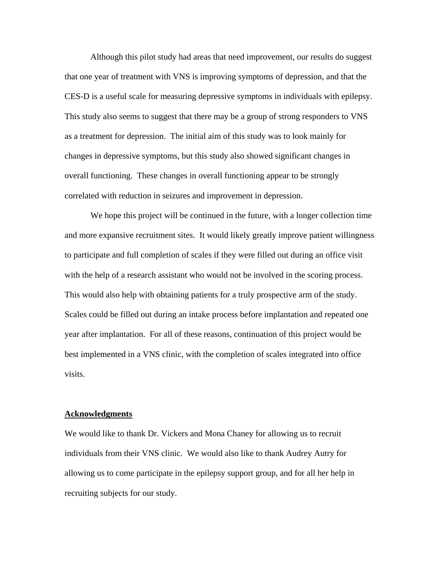Although this pilot study had areas that need improvement, our results do suggest that one year of treatment with VNS is improving symptoms of depression, and that the CES-D is a useful scale for measuring depressive symptoms in individuals with epilepsy. This study also seems to suggest that there may be a group of strong responders to VNS as a treatment for depression. The initial aim of this study was to look mainly for changes in depressive symptoms, but this study also showed significant changes in overall functioning. These changes in overall functioning appear to be strongly correlated with reduction in seizures and improvement in depression.

We hope this project will be continued in the future, with a longer collection time and more expansive recruitment sites. It would likely greatly improve patient willingness to participate and full completion of scales if they were filled out during an office visit with the help of a research assistant who would not be involved in the scoring process. This would also help with obtaining patients for a truly prospective arm of the study. Scales could be filled out during an intake process before implantation and repeated one year after implantation. For all of these reasons, continuation of this project would be best implemented in a VNS clinic, with the completion of scales integrated into office visits.

#### **Acknowledgments**

We would like to thank Dr. Vickers and Mona Chaney for allowing us to recruit individuals from their VNS clinic. We would also like to thank Audrey Autry for allowing us to come participate in the epilepsy support group, and for all her help in recruiting subjects for our study.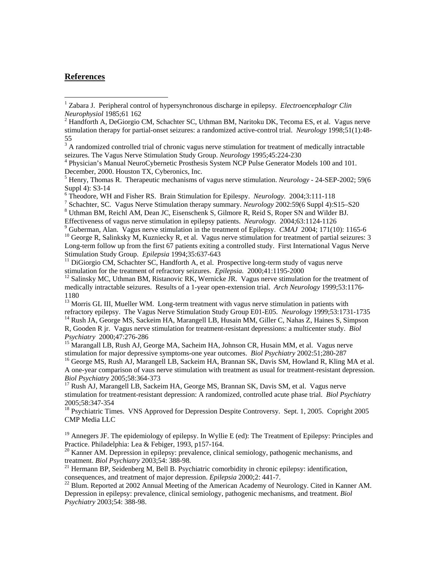# **References**

 $\overline{a}$ 

seizures. The Vagus Nerve Stimulation Study Group. *Neurology* 1995;45:224-230 4

<sup>7</sup> Schachter, SC. Vagus Nerve Stimulation therapy summary. *Neurology* 2002:59(6 Suppl 4):S15–S20

<sup>10</sup> George R, Salinksky M, Kuzniecky R, et al. Vagus nerve stimulation for treatment of partial seizures: 3 Long-term follow up from the first 67 patients exiting a controlled study. First International Vagus Nerve Stimulation Study Group. *Epilepsia* 1994;35:637-643<br><sup>11</sup> DiGiorgio CM, Schachter SC, Handforth A, et al. Prospective long-term study of vagus nerve

stimulation for the treatment of refractory seizures. *Epilepsia*. 2000;41:1195-2000<br><sup>12</sup> Salinsky MC, Uthman BM, Ristanovic RK, Wernicke JR. Vagus nerve stimulation for the treatment of

<sup>13</sup> Morris GL III, Mueller WM. Long-term treatment with vagus nerve stimulation in patients with refractory epilepsy. The Vagus Nerve Stimulation Study Group E01-E05. *Neurology* 1999;53:1731-1735<sup>14</sup> Rush JA, George MS, Sackeim HA, Marangell LB, Husain MM, Giller C, Nahas Z, Haines S, Simpson

R, Gooden R jr. Vagus nerve stimulation for treatment-resistant depressions: a multicenter study. *Biol* 

<sup>15</sup> Marangall LB, Rush AJ, George MA, Sacheim HA, Johnson CR, Husain MM, et al. Vagus nerve stimulation for major depressive symptoms-one year outcomes. *Biol Psychiatry* 2002:51;280-287

<sup>16</sup> George MS, Rush AJ, Marangell LB, Sackeim HA, Brannan SK, Davis SM, Howland R, Kling MA et al. A one-year comparison of vaus nerve stimulation with treatment as usual for treatment-resistant depression.<br>Biol Psychiatry 2005;58:364-373

<sup>17</sup> Rush AJ, Marangell LB, Sackeim HA, George MS, Brannan SK, Davis SM, et al. Vagus nerve stimulation for treatment-resistant depression: A randomized, controlled acute phase trial. *Biol Psychiatry*  2005;58:347-354

<sup>18</sup> Psychiatric Times. VNS Approved for Depression Despite Controversy. Sept. 1, 2005. Copright 2005 CMP Media LLC

 $19$  Annegers JF. The epidemiology of epilepsy. In Wyllie E (ed): The Treatment of Epilepsy: Principles and Practice. Philadelphia: Lea & Febiger, 1993, p157-164.

<sup>20</sup> Kanner AM. Depression in epilepsy: prevalence, clinical semiology, pathogenic mechanisms, and treatment. *Biol Psychiatry* 2003;54: 388-98.

<sup>21</sup> Hermann BP, Seidenberg M, Bell B. Psychiatric comorbidity in chronic epilepsy: identification, consequences, and treatment of major depression. *Epilepsia* 2000;2: 441-7.

<sup>22</sup> Blum. Reported at 2002 Annual Meeting of the American Academy of Neurology. Cited in Kanner AM. Depression in epilepsy: prevalence, clinical semiology, pathogenic mechanisms, and treatment. *Biol Psychiatry* 2003;54: 388-98.

<sup>&</sup>lt;sup>1</sup> Zabara J. Peripheral control of hypersynchronous discharge in epilepsy. *Electroencephalogr Clin Neurophysiol* 1985;61 162

 $^{2}$  Handforth A, DeGiorgio CM, Schachter SC, Uthman BM, Naritoku DK, Tecoma ES, et al. Vagus nerve stimulation therapy for partial-onset seizures: a randomized active-control trial. *Neurology* 1998;51(1):48- 55 3 A randomized controlled trial of chronic vagus nerve stimulation for treatment of medically intractable

Physician's Manual NeuroCybernetic Prosthesis System NCP Pulse Generator Models 100 and 101. December, 2000. Houston TX, Cyberonics, Inc.

<sup>5</sup> Henry, Thomas R. Therapeutic mechanisms of vagus nerve stimulation. *Neurology* - 24-SEP-2002; 59(6 Suppl 4): S3-14

Theodore, WH and Fisher RS. Brain Stimulation for Epilespy. *Neurology.* 2004;3:111-118 7

Uthman BM, Reichl AM, Dean JC, Eisenschenk S, Gilmore R, Reid S, Roper SN and Wilder BJ. Effectiveness of vagus nerve stimulation in epilepsy patients. *Neurology.* 2004;63:1124-1126<br><sup>9</sup> Guberman, Alan. Vagus nerve stimulation in the treatment of Epilepsy. *CMAJ* 2004; 171(10): 1165-6

medically intractable seizures. Results of a 1-year open-extension trial. *Arch Neurology* 1999;53:1176- 1180